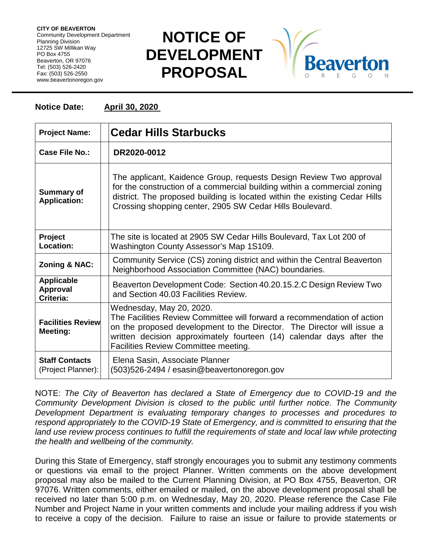**CITY OF BEAVERTON** Community Development Department Planning Division 12725 SW Millikan Way PO Box 4755 Beaverton, OR 97076 Tel: (503) 526-2420 Fax: (503) 526-2550 www.beavertonoregon.gov

## **NOTICE OF DEVELOPMENT PROPOSAL**



## **Notice Date: April 30, 2020**

| <b>Project Name:</b>                              | <b>Cedar Hills Starbucks</b>                                                                                                                                                                                                                                                                  |
|---------------------------------------------------|-----------------------------------------------------------------------------------------------------------------------------------------------------------------------------------------------------------------------------------------------------------------------------------------------|
| Case File No.:                                    | DR2020-0012                                                                                                                                                                                                                                                                                   |
| <b>Summary of</b><br><b>Application:</b>          | The applicant, Kaidence Group, requests Design Review Two approval<br>for the construction of a commercial building within a commercial zoning<br>district. The proposed building is located within the existing Cedar Hills<br>Crossing shopping center, 2905 SW Cedar Hills Boulevard.      |
| Project<br>Location:                              | The site is located at 2905 SW Cedar Hills Boulevard, Tax Lot 200 of<br>Washington County Assessor's Map 1S109.                                                                                                                                                                               |
| <b>Zoning &amp; NAC:</b>                          | Community Service (CS) zoning district and within the Central Beaverton<br>Neighborhood Association Committee (NAC) boundaries.                                                                                                                                                               |
| <b>Applicable</b><br><b>Approval</b><br>Criteria: | Beaverton Development Code: Section 40.20.15.2.C Design Review Two<br>and Section 40.03 Facilities Review.                                                                                                                                                                                    |
| <b>Facilities Review</b><br><b>Meeting:</b>       | Wednesday, May 20, 2020.<br>The Facilities Review Committee will forward a recommendation of action<br>on the proposed development to the Director. The Director will issue a<br>written decision approximately fourteen (14) calendar days after the<br>Facilities Review Committee meeting. |
| <b>Staff Contacts</b><br>(Project Planner):       | Elena Sasin, Associate Planner<br>(503)526-2494 / esasin@beavertonoregon.gov                                                                                                                                                                                                                  |

NOTE: *The City of Beaverton has declared a State of Emergency due to COVID-19 and the Community Development Division is closed to the public until further notice. The Community Development Department is evaluating temporary changes to processes and procedures to respond appropriately to the COVID-19 State of Emergency, and is committed to ensuring that the*  land use review process continues to fulfill the requirements of state and local law while protecting *the health and wellbeing of the community.*

During this State of Emergency, staff strongly encourages you to submit any testimony comments or questions via email to the project Planner. Written comments on the above development proposal may also be mailed to the Current Planning Division, at PO Box 4755, Beaverton, OR 97076. Written comments, either emailed or mailed, on the above development proposal shall be received no later than 5:00 p.m. on Wednesday, May 20, 2020. Please reference the Case File Number and Project Name in your written comments and include your mailing address if you wish to receive a copy of the decision. Failure to raise an issue or failure to provide statements or